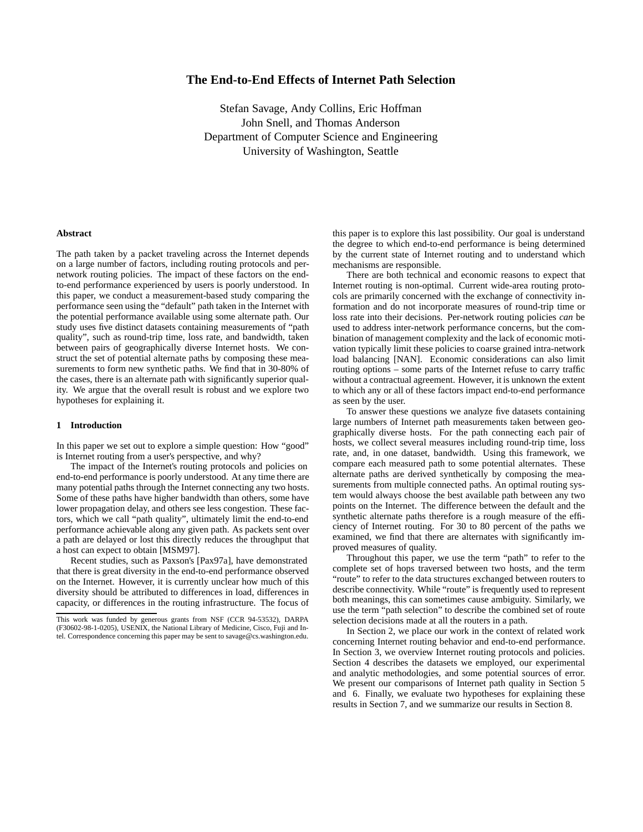# **The End-to-End Effects of Internet Path Selection**

Stefan Savage, Andy Collins, Eric Hoffman John Snell, and Thomas Anderson Department of Computer Science and Engineering University of Washington, Seattle

### **Abstract**

The path taken by a packet traveling across the Internet depends on a large number of factors, including routing protocols and pernetwork routing policies. The impact of these factors on the endto-end performance experienced by users is poorly understood. In this paper, we conduct a measurement-based study comparing the performance seen using the "default" path taken in the Internet with the potential performance available using some alternate path. Our study uses five distinct datasets containing measurements of "path quality", such as round-trip time, loss rate, and bandwidth, taken between pairs of geographically diverse Internet hosts. We construct the set of potential alternate paths by composing these measurements to form new synthetic paths. We find that in 30-80% of the cases, there is an alternate path with significantly superior quality. We argue that the overall result is robust and we explore two hypotheses for explaining it.

### **1 Introduction**

In this paper we set out to explore a simple question: How "good" is Internet routing from a user's perspective, and why?

The impact of the Internet's routing protocols and policies on end-to-end performance is poorly understood. At any time there are many potential paths through the Internet connecting any two hosts. Some of these paths have higher bandwidth than others, some have lower propagation delay, and others see less congestion. These factors, which we call "path quality", ultimately limit the end-to-end performance achievable along any given path. As packets sent over a path are delayed or lost this directly reduces the throughput that a host can expect to obtain [MSM97].

Recent studies, such as Paxson's [Pax97a], have demonstrated that there is great diversity in the end-to-end performance observed on the Internet. However, it is currently unclear how much of this diversity should be attributed to differences in load, differences in capacity, or differences in the routing infrastructure. The focus of this paper is to explore this last possibility. Our goal is understand the degree to which end-to-end performance is being determined by the current state of Internet routing and to understand which mechanisms are responsible.

There are both technical and economic reasons to expect that Internet routing is non-optimal. Current wide-area routing protocols are primarily concerned with the exchange of connectivity information and do not incorporate measures of round-trip time or loss rate into their decisions. Per-network routing policies *can* be used to address inter-network performance concerns, but the combination of management complexity and the lack of economic motivation typically limit these policies to coarse grained intra-network load balancing [NAN]. Economic considerations can also limit routing options – some parts of the Internet refuse to carry traffic without a contractual agreement. However, it is unknown the extent to which any or all of these factors impact end-to-end performance as seen by the user.

To answer these questions we analyze five datasets containing large numbers of Internet path measurements taken between geographically diverse hosts. For the path connecting each pair of hosts, we collect several measures including round-trip time, loss rate, and, in one dataset, bandwidth. Using this framework, we compare each measured path to some potential alternates. These alternate paths are derived synthetically by composing the measurements from multiple connected paths. An optimal routing system would always choose the best available path between any two points on the Internet. The difference between the default and the synthetic alternate paths therefore is a rough measure of the efficiency of Internet routing. For 30 to 80 percent of the paths we examined, we find that there are alternates with significantly improved measures of quality.

Throughout this paper, we use the term "path" to refer to the complete set of hops traversed between two hosts, and the term "route" to refer to the data structures exchanged between routers to describe connectivity. While "route" is frequently used to represent both meanings, this can sometimes cause ambiguity. Similarly, we use the term "path selection" to describe the combined set of route selection decisions made at all the routers in a path.

In Section 2, we place our work in the context of related work concerning Internet routing behavior and end-to-end performance. In Section 3, we overview Internet routing protocols and policies. Section 4 describes the datasets we employed, our experimental and analytic methodologies, and some potential sources of error. We present our comparisons of Internet path quality in Section 5 and 6. Finally, we evaluate two hypotheses for explaining these results in Section 7, and we summarize our results in Section 8.

This work was funded by generous grants from NSF (CCR 94-53532), DARPA (F30602-98-1-0205), USENIX, the National Library of Medicine, Cisco, Fuji and Intel. Correspondence concerning this paper may be sent to savage@cs.washington.edu.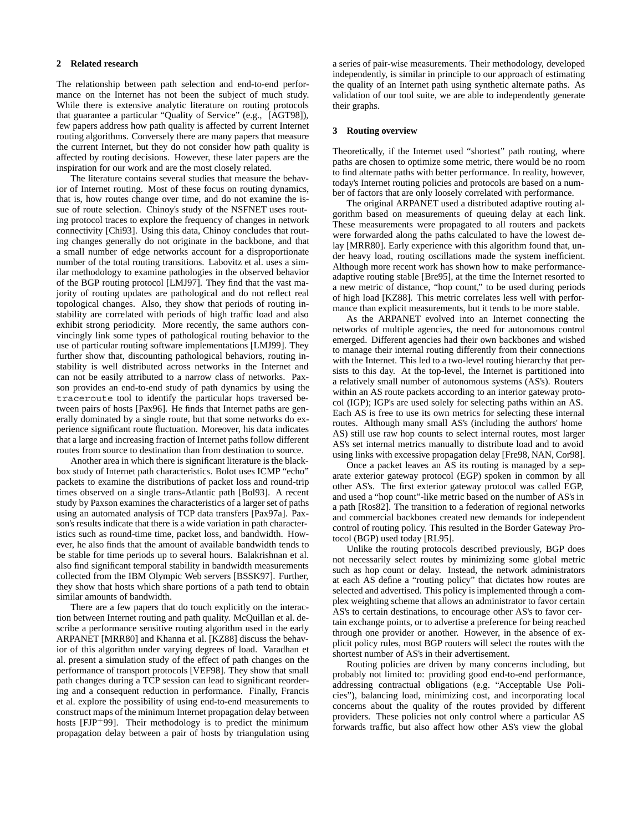# **2 Related research**

The relationship between path selection and end-to-end performance on the Internet has not been the subject of much study. While there is extensive analytic literature on routing protocols that guarantee a particular "Quality of Service" (e.g., [AGT98]), few papers address how path quality is affected by current Internet routing algorithms. Conversely there are many papers that measure the current Internet, but they do not consider how path quality is affected by routing decisions. However, these later papers are the inspiration for our work and are the most closely related.

The literature contains several studies that measure the behavior of Internet routing. Most of these focus on routing dynamics, that is, how routes change over time, and do not examine the issue of route selection. Chinoy's study of the NSFNET uses routing protocol traces to explore the frequency of changes in network connectivity [Chi93]. Using this data, Chinoy concludes that routing changes generally do not originate in the backbone, and that a small number of edge networks account for a disproportionate number of the total routing transitions. Labovitz et al. uses a similar methodology to examine pathologies in the observed behavior of the BGP routing protocol [LMJ97]. They find that the vast majority of routing updates are pathological and do not reflect real topological changes. Also, they show that periods of routing instability are correlated with periods of high traffic load and also exhibit strong periodicity. More recently, the same authors convincingly link some types of pathological routing behavior to the use of particular routing software implementations [LMJ99]. They further show that, discounting pathological behaviors, routing instability is well distributed across networks in the Internet and can not be easily attributed to a narrow class of networks. Paxson provides an end-to-end study of path dynamics by using the traceroute tool to identify the particular hops traversed between pairs of hosts [Pax96]. He finds that Internet paths are generally dominated by a single route, but that some networks do experience significant route fluctuation. Moreover, his data indicates that a large and increasing fraction of Internet paths follow different routes from source to destination than from destination to source.

Another area in which there is significant literature is the blackbox study of Internet path characteristics. Bolot uses ICMP "echo" packets to examine the distributions of packet loss and round-trip times observed on a single trans-Atlantic path [Bol93]. A recent study by Paxson examines the characteristics of a larger set of paths using an automated analysis of TCP data transfers [Pax97a]. Paxson's results indicate that there is a wide variation in path characteristics such as round-time time, packet loss, and bandwidth. However, he also finds that the amount of available bandwidth tends to be stable for time periods up to several hours. Balakrishnan et al. also find significant temporal stability in bandwidth measurements collected from the IBM Olympic Web servers [BSSK97]. Further, they show that hosts which share portions of a path tend to obtain similar amounts of bandwidth.

There are a few papers that do touch explicitly on the interaction between Internet routing and path quality. McQuillan et al. describe a performance sensitive routing algorithm used in the early ARPANET [MRR80] and Khanna et al. [KZ88] discuss the behavior of this algorithm under varying degrees of load. Varadhan et al. present a simulation study of the effect of path changes on the performance of transport protocols [VEF98]. They show that small path changes during a TCP session can lead to significant reordering and a consequent reduction in performance. Finally, Francis et al. explore the possibility of using end-to-end measurements to construct maps of the minimum Internet propagation delay between hosts [FJP<sup>+</sup>99]. Their methodology is to predict the minimum propagation delay between a pair of hosts by triangulation using a series of pair-wise measurements. Their methodology, developed independently, is similar in principle to our approach of estimating the quality of an Internet path using synthetic alternate paths. As validation of our tool suite, we are able to independently generate their graphs.

## **3 Routing overview**

Theoretically, if the Internet used "shortest" path routing, where paths are chosen to optimize some metric, there would be no room to find alternate paths with better performance. In reality, however, today's Internet routing policies and protocols are based on a number of factors that are only loosely correlated with performance.

The original ARPANET used a distributed adaptive routing algorithm based on measurements of queuing delay at each link. These measurements were propagated to all routers and packets were forwarded along the paths calculated to have the lowest delay [MRR80]. Early experience with this algorithm found that, under heavy load, routing oscillations made the system inefficient. Although more recent work has shown how to make performanceadaptive routing stable [Bre95], at the time the Internet resorted to a new metric of distance, "hop count," to be used during periods of high load [KZ88]. This metric correlates less well with performance than explicit measurements, but it tends to be more stable.

As the ARPANET evolved into an Internet connecting the networks of multiple agencies, the need for autonomous control emerged. Different agencies had their own backbones and wished to manage their internal routing differently from their connections with the Internet. This led to a two-level routing hierarchy that persists to this day. At the top-level, the Internet is partitioned into a relatively small number of autonomous systems (AS's). Routers within an AS route packets according to an interior gateway protocol (IGP); IGP's are used solely for selecting paths within an AS. Each AS is free to use its own metrics for selecting these internal routes. Although many small AS's (including the authors' home AS) still use raw hop counts to select internal routes, most larger AS's set internal metrics manually to distribute load and to avoid using links with excessive propagation delay [Fre98, NAN, Cor98].

Once a packet leaves an AS its routing is managed by a separate exterior gateway protocol (EGP) spoken in common by all other AS's. The first exterior gateway protocol was called EGP, and used a "hop count"-like metric based on the number of AS's in a path [Ros82]. The transition to a federation of regional networks and commercial backbones created new demands for independent control of routing policy. This resulted in the Border Gateway Protocol (BGP) used today [RL95].

Unlike the routing protocols described previously, BGP does not necessarily select routes by minimizing some global metric such as hop count or delay. Instead, the network administrators at each AS define a "routing policy" that dictates how routes are selected and advertised. This policy is implemented through a complex weighting scheme that allows an administrator to favor certain AS's to certain destinations, to encourage other AS's to favor certain exchange points, or to advertise a preference for being reached through one provider or another. However, in the absence of explicit policy rules, most BGP routers will select the routes with the shortest number of AS's in their advertisement.

Routing policies are driven by many concerns including, but probably not limited to: providing good end-to-end performance, addressing contractual obligations (e.g. "Acceptable Use Policies"), balancing load, minimizing cost, and incorporating local concerns about the quality of the routes provided by different providers. These policies not only control where a particular AS forwards traffic, but also affect how other AS's view the global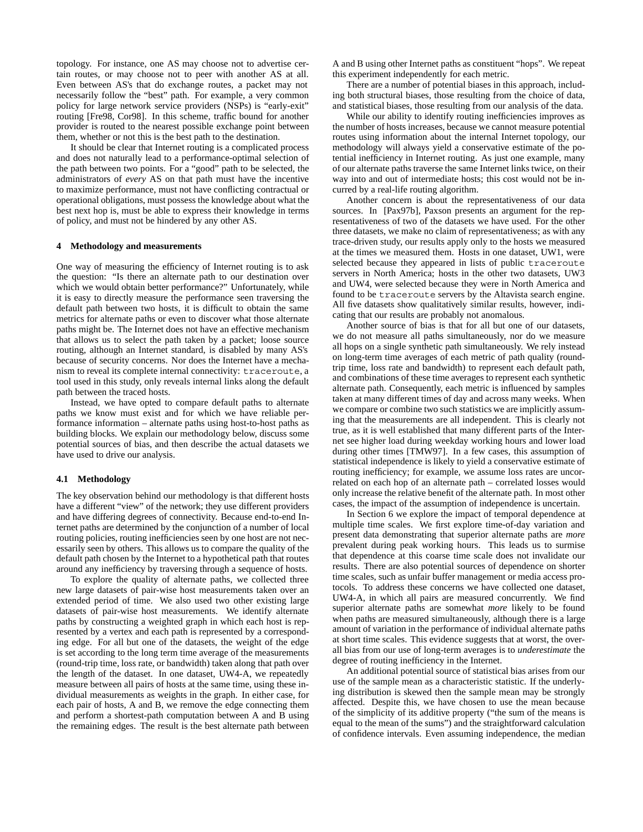topology. For instance, one AS may choose not to advertise certain routes, or may choose not to peer with another AS at all. Even between AS's that do exchange routes, a packet may not necessarily follow the "best" path. For example, a very common policy for large network service providers (NSPs) is "early-exit" routing [Fre98, Cor98]. In this scheme, traffic bound for another provider is routed to the nearest possible exchange point between them, whether or not this is the best path to the destination.

It should be clear that Internet routing is a complicated process and does not naturally lead to a performance-optimal selection of the path between two points. For a "good" path to be selected, the administrators of *every* AS on that path must have the incentive to maximize performance, must not have conflicting contractual or operational obligations, must possess the knowledge about what the best next hop is, must be able to express their knowledge in terms of policy, and must not be hindered by any other AS.

#### **4 Methodology and measurements**

One way of measuring the efficiency of Internet routing is to ask the question: "Is there an alternate path to our destination over which we would obtain better performance?" Unfortunately, while it is easy to directly measure the performance seen traversing the default path between two hosts, it is difficult to obtain the same metrics for alternate paths or even to discover what those alternate paths might be. The Internet does not have an effective mechanism that allows us to select the path taken by a packet; loose source routing, although an Internet standard, is disabled by many AS's because of security concerns. Nor does the Internet have a mechanism to reveal its complete internal connectivity: traceroute, a tool used in this study, only reveals internal links along the default path between the traced hosts.

Instead, we have opted to compare default paths to alternate paths we know must exist and for which we have reliable performance information – alternate paths using host-to-host paths as building blocks. We explain our methodology below, discuss some potential sources of bias, and then describe the actual datasets we have used to drive our analysis.

### **4.1 Methodology**

The key observation behind our methodology is that different hosts have a different "view" of the network; they use different providers and have differing degrees of connectivity. Because end-to-end Internet paths are determined by the conjunction of a number of local routing policies, routing inefficiencies seen by one host are not necessarily seen by others. This allows us to compare the quality of the default path chosen by the Internet to a hypothetical path that routes around any inefficiency by traversing through a sequence of hosts.

To explore the quality of alternate paths, we collected three new large datasets of pair-wise host measurements taken over an extended period of time. We also used two other existing large datasets of pair-wise host measurements. We identify alternate paths by constructing a weighted graph in which each host is represented by a vertex and each path is represented by a corresponding edge. For all but one of the datasets, the weight of the edge is set according to the long term time average of the measurements (round-trip time, loss rate, or bandwidth) taken along that path over the length of the dataset. In one dataset, UW4-A, we repeatedly measure between all pairs of hosts at the same time, using these individual measurements as weights in the graph. In either case, for each pair of hosts, A and B, we remove the edge connecting them and perform a shortest-path computation between A and B using the remaining edges. The result is the best alternate path between

A and B using other Internet paths as constituent "hops". We repeat this experiment independently for each metric.

There are a number of potential biases in this approach, including both structural biases, those resulting from the choice of data, and statistical biases, those resulting from our analysis of the data.

While our ability to identify routing inefficiencies improves as the number of hosts increases, because we cannot measure potential routes using information about the internal Internet topology, our methodology will always yield a conservative estimate of the potential inefficiency in Internet routing. As just one example, many of our alternate paths traverse the same Internet links twice, on their way into and out of intermediate hosts; this cost would not be incurred by a real-life routing algorithm.

Another concern is about the representativeness of our data sources. In [Pax97b], Paxson presents an argument for the representativeness of two of the datasets we have used. For the other three datasets, we make no claim of representativeness; as with any trace-driven study, our results apply only to the hosts we measured at the times we measured them. Hosts in one dataset, UW1, were selected because they appeared in lists of public traceroute servers in North America; hosts in the other two datasets, UW3 and UW4, were selected because they were in North America and found to be traceroute servers by the Altavista search engine. All five datasets show qualitatively similar results, however, indicating that our results are probably not anomalous.

Another source of bias is that for all but one of our datasets, we do not measure all paths simultaneously, nor do we measure all hops on a single synthetic path simultaneously. We rely instead on long-term time averages of each metric of path quality (roundtrip time, loss rate and bandwidth) to represent each default path, and combinations of these time averages to represent each synthetic alternate path. Consequently, each metric is influenced by samples taken at many different times of day and across many weeks. When we compare or combine two such statistics we are implicitly assuming that the measurements are all independent. This is clearly not true, as it is well established that many different parts of the Internet see higher load during weekday working hours and lower load during other times [TMW97]. In a few cases, this assumption of statistical independence is likely to yield a conservative estimate of routing inefficiency; for example, we assume loss rates are uncorrelated on each hop of an alternate path – correlated losses would only increase the relative benefit of the alternate path. In most other cases, the impact of the assumption of independence is uncertain.

In Section 6 we explore the impact of temporal dependence at multiple time scales. We first explore time-of-day variation and present data demonstrating that superior alternate paths are *more* prevalent during peak working hours. This leads us to surmise that dependence at this coarse time scale does not invalidate our results. There are also potential sources of dependence on shorter time scales, such as unfair buffer management or media access protocols. To address these concerns we have collected one dataset, UW4-A, in which all pairs are measured concurrently. We find superior alternate paths are somewhat *more* likely to be found when paths are measured simultaneously, although there is a large amount of variation in the performance of individual alternate paths at short time scales. This evidence suggests that at worst, the overall bias from our use of long-term averages is to *underestimate* the degree of routing inefficiency in the Internet.

An additional potential source of statistical bias arises from our use of the sample mean as a characteristic statistic. If the underlying distribution is skewed then the sample mean may be strongly affected. Despite this, we have chosen to use the mean because of the simplicity of its additive property ("the sum of the means is equal to the mean of the sums") and the straightforward calculation of confidence intervals. Even assuming independence, the median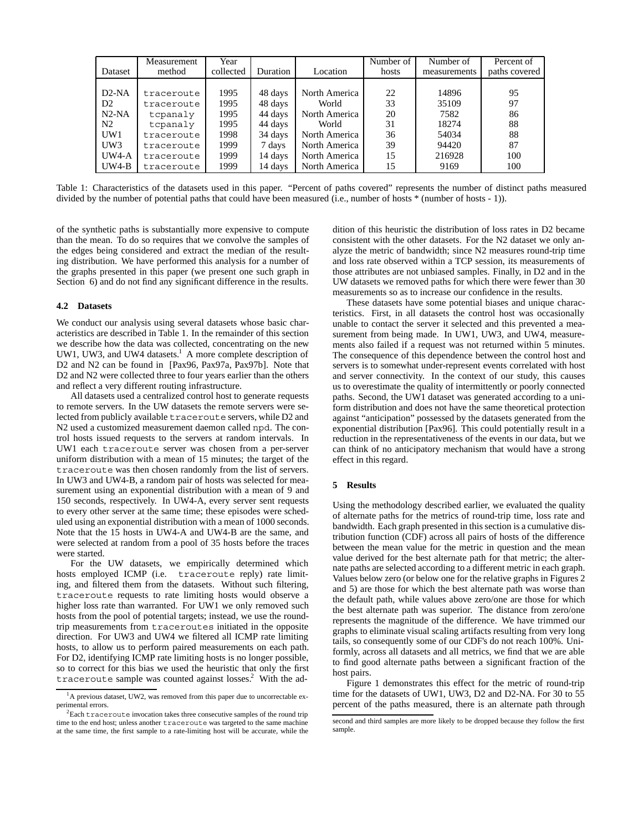|                | Measurement | Year      |          |               | Number of | Number of    | Percent of    |
|----------------|-------------|-----------|----------|---------------|-----------|--------------|---------------|
| Dataset        | method      | collected | Duration | Location      | hosts     | measurements | paths covered |
|                |             |           |          |               |           |              |               |
| $D2-NA$        | traceroute  | 1995      | 48 days  | North America | 22        | 14896        | 95            |
| D <sub>2</sub> | traceroute  | 1995      | 48 days  | World         | 33        | 35109        | 97            |
| $N2-NA$        | tcpanaly    | 1995      | 44 days  | North America | 20        | 7582         | 86            |
| N2             | tcpanaly    | 1995      | 44 days  | World         | 31        | 18274        | 88            |
| UW1            | traceroute  | 1998      | 34 days  | North America | 36        | 54034        | 88            |
| UW3            | traceroute  | 1999      | 7 days   | North America | 39        | 94420        | 87            |
| $UW4-A$        | traceroute  | 1999      | 14 days  | North America | 15        | 216928       | 100           |
| $UW4-B$        | traceroute  | 1999      | 14 days  | North America | 15        | 9169         | 100           |

Table 1: Characteristics of the datasets used in this paper. "Percent of paths covered" represents the number of distinct paths measured divided by the number of potential paths that could have been measured (i.e., number of hosts \* (number of hosts - 1)).

of the synthetic paths is substantially more expensive to compute than the mean. To do so requires that we convolve the samples of the edges being considered and extract the median of the resulting distribution. We have performed this analysis for a number of the graphs presented in this paper (we present one such graph in Section 6) and do not find any significant difference in the results.

#### **4.2 Datasets**

We conduct our analysis using several datasets whose basic characteristics are described in Table 1. In the remainder of this section we describe how the data was collected, concentrating on the new UW1, UW3, and UW4 datasets.<sup>1</sup> A more complete description of D2 and N2 can be found in [Pax96, Pax97a, Pax97b]. Note that D2 and N2 were collected three to four years earlier than the others and reflect a very different routing infrastructure.

All datasets used a centralized control host to generate requests to remote servers. In the UW datasets the remote servers were selected from publicly available traceroute servers, while D2 and N2 used a customized measurement daemon called npd. The control hosts issued requests to the servers at random intervals. In UW1 each traceroute server was chosen from a per-server uniform distribution with a mean of 15 minutes; the target of the traceroute was then chosen randomly from the list of servers. In UW3 and UW4-B, a random pair of hosts was selected for measurement using an exponential distribution with a mean of 9 and 150 seconds, respectively. In UW4-A, every server sent requests to every other server at the same time; these episodes were scheduled using an exponential distribution with a mean of 1000 seconds. Note that the 15 hosts in UW4-A and UW4-B are the same, and were selected at random from a pool of 35 hosts before the traces were started.

For the UW datasets, we empirically determined which hosts employed ICMP (i.e. traceroute reply) rate limiting, and filtered them from the datasets. Without such filtering, traceroute requests to rate limiting hosts would observe a higher loss rate than warranted. For UW1 we only removed such hosts from the pool of potential targets; instead, we use the roundtrip measurements from traceroutes initiated in the opposite direction. For UW3 and UW4 we filtered all ICMP rate limiting hosts, to allow us to perform paired measurements on each path. For D2, identifying ICMP rate limiting hosts is no longer possible, so to correct for this bias we used the heuristic that only the first traceroute sample was counted against losses.<sup>2</sup> With the addition of this heuristic the distribution of loss rates in D2 became consistent with the other datasets. For the N2 dataset we only analyze the metric of bandwidth; since N2 measures round-trip time and loss rate observed within a TCP session, its measurements of those attributes are not unbiased samples. Finally, in D2 and in the UW datasets we removed paths for which there were fewer than 30 measurements so as to increase our confidence in the results.

These datasets have some potential biases and unique characteristics. First, in all datasets the control host was occasionally unable to contact the server it selected and this prevented a measurement from being made. In UW1, UW3, and UW4, measurements also failed if a request was not returned within 5 minutes. The consequence of this dependence between the control host and servers is to somewhat under-represent events correlated with host and server connectivity. In the context of our study, this causes us to overestimate the quality of intermittently or poorly connected paths. Second, the UW1 dataset was generated according to a uniform distribution and does not have the same theoretical protection against "anticipation" possessed by the datasets generated from the exponential distribution [Pax96]. This could potentially result in a reduction in the representativeness of the events in our data, but we can think of no anticipatory mechanism that would have a strong effect in this regard.

# **5 Results**

Using the methodology described earlier, we evaluated the quality of alternate paths for the metrics of round-trip time, loss rate and bandwidth. Each graph presented in this section is a cumulative distribution function (CDF) across all pairs of hosts of the difference between the mean value for the metric in question and the mean value derived for the best alternate path for that metric; the alternate paths are selected according to a different metric in each graph. Values below zero (or below one for the relative graphs in Figures 2 and 5) are those for which the best alternate path was worse than the default path, while values above zero/one are those for which the best alternate path was superior. The distance from zero/one represents the magnitude of the difference. We have trimmed our graphs to eliminate visual scaling artifacts resulting from very long tails, so consequently some of our CDF's do not reach 100%. Uniformly, across all datasets and all metrics, we find that we are able to find good alternate paths between a significant fraction of the host pairs.

Figure 1 demonstrates this effect for the metric of round-trip time for the datasets of UW1, UW3, D2 and D2-NA. For 30 to 55 percent of the paths measured, there is an alternate path through

 $1<sup>1</sup>$ A previous dataset, UW2, was removed from this paper due to uncorrectable experimental errors.

<sup>&</sup>lt;sup>2</sup>Each traceroute invocation takes three consecutive samples of the round trip time to the end host; unless another traceroute was targeted to the same machine at the same time, the first sample to a rate-limiting host will be accurate, while the

second and third samples are more likely to be dropped because they follow the first sample.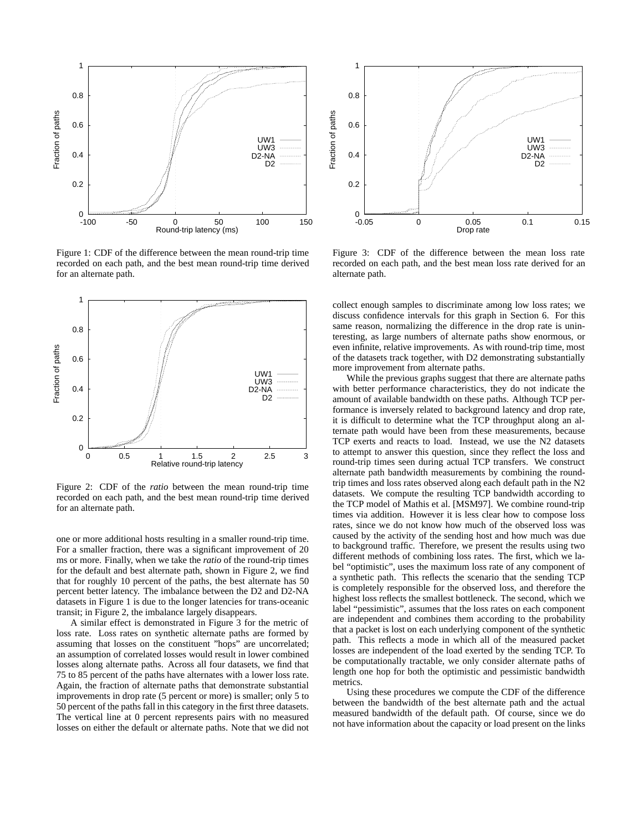

Figure 1: CDF of the difference between the mean round-trip time recorded on each path, and the best mean round-trip time derived for an alternate path.



Figure 2: CDF of the *ratio* between the mean round-trip time recorded on each path, and the best mean round-trip time derived for an alternate path.

one or more additional hosts resulting in a smaller round-trip time. For a smaller fraction, there was a significant improvement of 20 ms or more. Finally, when we take the *ratio* of the round-trip times for the default and best alternate path, shown in Figure 2, we find that for roughly 10 percent of the paths, the best alternate has 50 percent better latency. The imbalance between the D2 and D2-NA datasets in Figure 1 is due to the longer latencies for trans-oceanic transit; in Figure 2, the imbalance largely disappears.

A similar effect is demonstrated in Figure 3 for the metric of loss rate. Loss rates on synthetic alternate paths are formed by assuming that losses on the constituent "hops" are uncorrelated; an assumption of correlated losses would result in lower combined losses along alternate paths. Across all four datasets, we find that 75 to 85 percent of the paths have alternates with a lower loss rate. Again, the fraction of alternate paths that demonstrate substantial improvements in drop rate (5 percent or more) is smaller; only 5 to 50 percent of the paths fall in this category in the first three datasets. The vertical line at 0 percent represents pairs with no measured losses on either the default or alternate paths. Note that we did not



Figure 3: CDF of the difference between the mean loss rate recorded on each path, and the best mean loss rate derived for an alternate path.

collect enough samples to discriminate among low loss rates; we discuss confidence intervals for this graph in Section 6. For this same reason, normalizing the difference in the drop rate is uninteresting, as large numbers of alternate paths show enormous, or even infinite, relative improvements. As with round-trip time, most of the datasets track together, with D2 demonstrating substantially more improvement from alternate paths.

While the previous graphs suggest that there are alternate paths with better performance characteristics, they do not indicate the amount of available bandwidth on these paths. Although TCP performance is inversely related to background latency and drop rate, it is difficult to determine what the TCP throughput along an alternate path would have been from these measurements, because TCP exerts and reacts to load. Instead, we use the N2 datasets to attempt to answer this question, since they reflect the loss and round-trip times seen during actual TCP transfers. We construct alternate path bandwidth measurements by combining the roundtrip times and loss rates observed along each default path in the N2 datasets. We compute the resulting TCP bandwidth according to the TCP model of Mathis et al. [MSM97]. We combine round-trip times via addition. However it is less clear how to compose loss rates, since we do not know how much of the observed loss was caused by the activity of the sending host and how much was due to background traffic. Therefore, we present the results using two different methods of combining loss rates. The first, which we label "optimistic", uses the maximum loss rate of any component of a synthetic path. This reflects the scenario that the sending TCP is completely responsible for the observed loss, and therefore the highest loss reflects the smallest bottleneck. The second, which we label "pessimistic", assumes that the loss rates on each component are independent and combines them according to the probability that a packet is lost on each underlying component of the synthetic path. This reflects a mode in which all of the measured packet losses are independent of the load exerted by the sending TCP. To be computationally tractable, we only consider alternate paths of length one hop for both the optimistic and pessimistic bandwidth metrics.

Using these procedures we compute the CDF of the difference between the bandwidth of the best alternate path and the actual measured bandwidth of the default path. Of course, since we do not have information about the capacity or load present on the links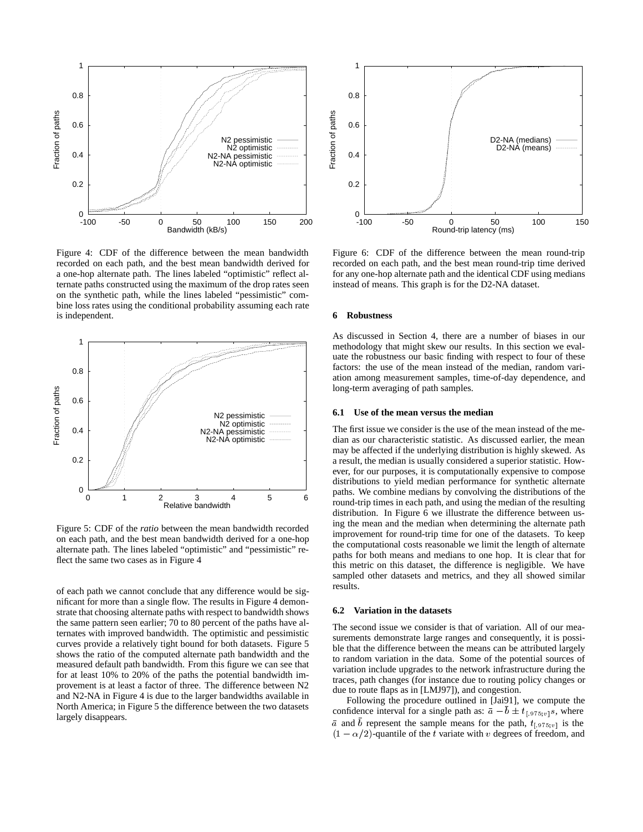

Figure 4: CDF of the difference between the mean bandwidth recorded on each path, and the best mean bandwidth derived for a one-hop alternate path. The lines labeled "optimistic" reflect alternate paths constructed using the maximum of the drop rates seen on the synthetic path, while the lines labeled "pessimistic" combine loss rates using the conditional probability assuming each rate is independent.



Figure 5: CDF of the *ratio* between the mean bandwidth recorded on each path, and the best mean bandwidth derived for a one-hop alternate path. The lines labeled "optimistic" and "pessimistic" reflect the same two cases as in Figure 4

of each path we cannot conclude that any difference would be significant for more than a single flow. The results in Figure 4 demonstrate that choosing alternate paths with respect to bandwidth shows the same pattern seen earlier; 70 to 80 percent of the paths have alternates with improved bandwidth. The optimistic and pessimistic curves provide a relatively tight bound for both datasets. Figure 5 shows the ratio of the computed alternate path bandwidth and the measured default path bandwidth. From this figure we can see that for at least 10% to 20% of the paths the potential bandwidth improvement is at least a factor of three. The difference between N2 and N2-NA in Figure 4 is due to the larger bandwidths available in North America; in Figure 5 the difference between the two datasets largely disappears.



Figure 6: CDF of the difference between the mean round-trip recorded on each path, and the best mean round-trip time derived for any one-hop alternate path and the identical CDF using medians instead of means. This graph is for the D2-NA dataset.

### **6 Robustness**

As discussed in Section 4, there are a number of biases in our methodology that might skew our results. In this section we evaluate the robustness our basic finding with respect to four of these factors: the use of the mean instead of the median, random variation among measurement samples, time-of-day dependence, and long-term averaging of path samples.

# **6.1 Use of the mean versus the median**

The first issue we consider is the use of the mean instead of the median as our characteristic statistic. As discussed earlier, the mean may be affected if the underlying distribution is highly skewed. As a result, the median is usually considered a superior statistic. However, for our purposes, it is computationally expensive to compose distributions to yield median performance for synthetic alternate paths. We combine medians by convolving the distributions of the round-trip times in each path, and using the median of the resulting distribution. In Figure 6 we illustrate the difference between using the mean and the median when determining the alternate path improvement for round-trip time for one of the datasets. To keep the computational costs reasonable we limit the length of alternate paths for both means and medians to one hop. It is clear that for this metric on this dataset, the difference is negligible. We have sampled other datasets and metrics, and they all showed similar results.

### **6.2 Variation in the datasets**

The second issue we consider is that of variation. All of our measurements demonstrate large ranges and consequently, it is possible that the difference between the means can be attributed largely to random variation in the data. Some of the potential sources of variation include upgrades to the network infrastructure during the traces, path changes (for instance due to routing policy changes or due to route flaps as in [LMJ97]), and congestion.

Following the procedure outlined in [Jai91], we compute the confidence interval for a single path as:  $\bar{a} - b \pm t_{[-975, v]}s$ , where  $\bar{a}$  and b represent the sample means for the path,  $t_{[.975,v]}$  is the  $(1 - \alpha/2)$ -quantile of the t variate with v degrees of freedom, and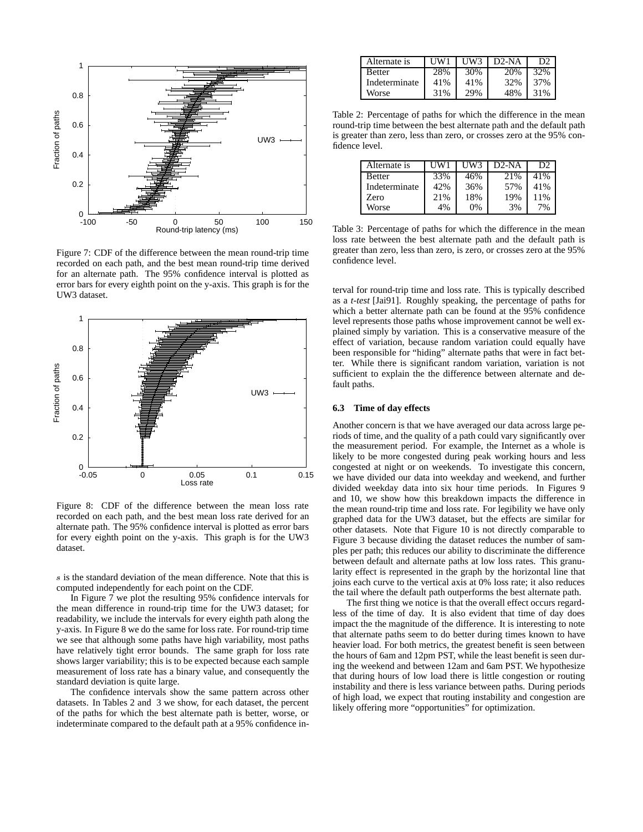

Figure 7: CDF of the difference between the mean round-trip time recorded on each path, and the best mean round-trip time derived for an alternate path. The 95% confidence interval is plotted as error bars for every eighth point on the y-axis. This graph is for the UW3 dataset.



Figure 8: CDF of the difference between the mean loss rate recorded on each path, and the best mean loss rate derived for an alternate path. The 95% confidence interval is plotted as error bars for every eighth point on the y-axis. This graph is for the UW3 dataset.

<sup>s</sup> is the standard deviation of the mean difference. Note that this is computed independently for each point on the CDF.

In Figure 7 we plot the resulting 95% confidence intervals for the mean difference in round-trip time for the UW3 dataset; for readability, we include the intervals for every eighth path along the y-axis. In Figure 8 we do the same for loss rate. For round-trip time we see that although some paths have high variability, most paths have relatively tight error bounds. The same graph for loss rate shows larger variability; this is to be expected because each sample measurement of loss rate has a binary value, and consequently the standard deviation is quite large.

The confidence intervals show the same pattern across other datasets. In Tables 2 and 3 we show, for each dataset, the percent of the paths for which the best alternate path is better, worse, or indeterminate compared to the default path at a 95% confidence in-

| Alternate is  | I IW1 | UW3 | $D2-NA$ | D2  |
|---------------|-------|-----|---------|-----|
| <b>Better</b> | 28%   | 30% | 20%     | 32% |
| Indeterminate | 41%   | 41% | 32%     | 37% |
| Worse         | 31%   | 29% | 48%     | 31% |

Table 2: Percentage of paths for which the difference in the mean round-trip time between the best alternate path and the default path is greater than zero, less than zero, or crosses zero at the 95% confidence level.

| Alternate is  | I IW 1 | UW3 | $D2-NA$ | D2  |
|---------------|--------|-----|---------|-----|
| Better        | 33%    | 46% | 21%     | 41% |
| Indeterminate | 42%    | 36% | 57%     | 41% |
| Zero          | 21%    | 18% | 19%     | 11% |
| Worse         | 4%     | 0%  | 3%      | 7%  |

Table 3: Percentage of paths for which the difference in the mean loss rate between the best alternate path and the default path is greater than zero, less than zero, is zero, or crosses zero at the 95% confidence level.

terval for round-trip time and loss rate. This is typically described as a *t-test* [Jai91]. Roughly speaking, the percentage of paths for which a better alternate path can be found at the 95% confidence level represents those paths whose improvement cannot be well explained simply by variation. This is a conservative measure of the effect of variation, because random variation could equally have been responsible for "hiding" alternate paths that were in fact better. While there is significant random variation, variation is not sufficient to explain the the difference between alternate and default paths.

### **6.3 Time of day effects**

Another concern is that we have averaged our data across large periods of time, and the quality of a path could vary significantly over the measurement period. For example, the Internet as a whole is likely to be more congested during peak working hours and less congested at night or on weekends. To investigate this concern, we have divided our data into weekday and weekend, and further divided weekday data into six hour time periods. In Figures 9 and 10, we show how this breakdown impacts the difference in the mean round-trip time and loss rate. For legibility we have only graphed data for the UW3 dataset, but the effects are similar for other datasets. Note that Figure 10 is not directly comparable to Figure 3 because dividing the dataset reduces the number of samples per path; this reduces our ability to discriminate the difference between default and alternate paths at low loss rates. This granularity effect is represented in the graph by the horizontal line that joins each curve to the vertical axis at 0% loss rate; it also reduces the tail where the default path outperforms the best alternate path.

The first thing we notice is that the overall effect occurs regardless of the time of day. It is also evident that time of day does impact the the magnitude of the difference. It is interesting to note that alternate paths seem to do better during times known to have heavier load. For both metrics, the greatest benefit is seen between the hours of 6am and 12pm PST, while the least benefit is seen during the weekend and between 12am and 6am PST. We hypothesize that during hours of low load there is little congestion or routing instability and there is less variance between paths. During periods of high load, we expect that routing instability and congestion are likely offering more "opportunities" for optimization.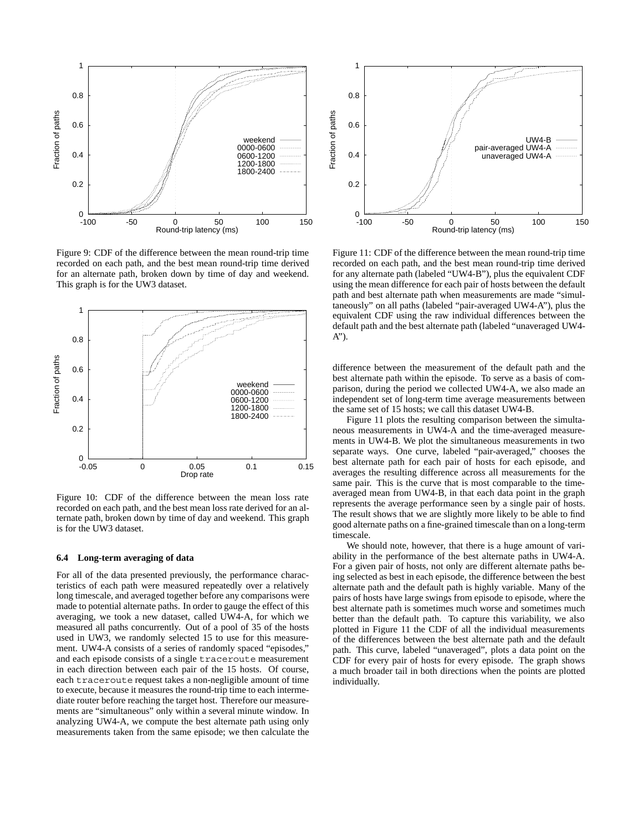

Figure 9: CDF of the difference between the mean round-trip time recorded on each path, and the best mean round-trip time derived for an alternate path, broken down by time of day and weekend. This graph is for the UW3 dataset.



Figure 10: CDF of the difference between the mean loss rate recorded on each path, and the best mean loss rate derived for an alternate path, broken down by time of day and weekend. This graph is for the UW3 dataset.

# **6.4 Long-term averaging of data**

For all of the data presented previously, the performance characteristics of each path were measured repeatedly over a relatively long timescale, and averaged together before any comparisons were made to potential alternate paths. In order to gauge the effect of this averaging, we took a new dataset, called UW4-A, for which we measured all paths concurrently. Out of a pool of 35 of the hosts used in UW3, we randomly selected 15 to use for this measurement. UW4-A consists of a series of randomly spaced "episodes," and each episode consists of a single traceroute measurement in each direction between each pair of the 15 hosts. Of course, each traceroute request takes a non-negligible amount of time to execute, because it measures the round-trip time to each intermediate router before reaching the target host. Therefore our measurements are "simultaneous" only within a several minute window. In analyzing UW4-A, we compute the best alternate path using only measurements taken from the same episode; we then calculate the



Figure 11: CDF of the difference between the mean round-trip time recorded on each path, and the best mean round-trip time derived for any alternate path (labeled "UW4-B"), plus the equivalent CDF using the mean difference for each pair of hosts between the default path and best alternate path when measurements are made "simultaneously" on all paths (labeled "pair-averaged UW4-A"), plus the equivalent CDF using the raw individual differences between the default path and the best alternate path (labeled "unaveraged UW4- A").

difference between the measurement of the default path and the best alternate path within the episode. To serve as a basis of comparison, during the period we collected UW4-A, we also made an independent set of long-term time average measurements between the same set of 15 hosts; we call this dataset UW4-B.

Figure 11 plots the resulting comparison between the simultaneous measurements in UW4-A and the time-averaged measurements in UW4-B. We plot the simultaneous measurements in two separate ways. One curve, labeled "pair-averaged," chooses the best alternate path for each pair of hosts for each episode, and averages the resulting difference across all measurements for the same pair. This is the curve that is most comparable to the timeaveraged mean from UW4-B, in that each data point in the graph represents the average performance seen by a single pair of hosts. The result shows that we are slightly more likely to be able to find good alternate paths on a fine-grained timescale than on a long-term timescale.

We should note, however, that there is a huge amount of variability in the performance of the best alternate paths in UW4-A. For a given pair of hosts, not only are different alternate paths being selected as best in each episode, the difference between the best alternate path and the default path is highly variable. Many of the pairs of hosts have large swings from episode to episode, where the best alternate path is sometimes much worse and sometimes much better than the default path. To capture this variability, we also plotted in Figure 11 the CDF of all the individual measurements of the differences between the best alternate path and the default path. This curve, labeled "unaveraged", plots a data point on the CDF for every pair of hosts for every episode. The graph shows a much broader tail in both directions when the points are plotted individually.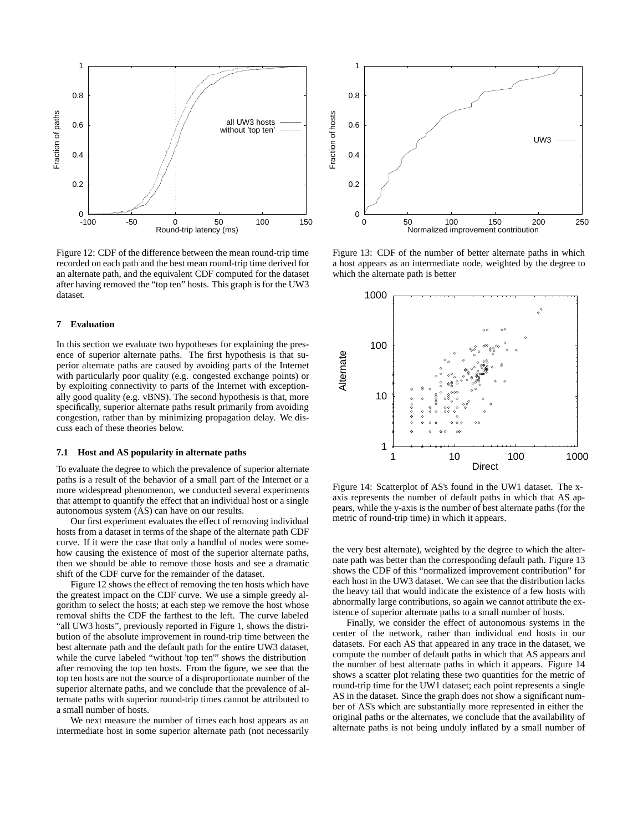

Figure 12: CDF of the difference between the mean round-trip time recorded on each path and the best mean round-trip time derived for an alternate path, and the equivalent CDF computed for the dataset after having removed the "top ten" hosts. This graph is for the UW3 dataset.

### **7 Evaluation**

In this section we evaluate two hypotheses for explaining the presence of superior alternate paths. The first hypothesis is that superior alternate paths are caused by avoiding parts of the Internet with particularly poor quality (e.g. congested exchange points) or by exploiting connectivity to parts of the Internet with exceptionally good quality (e.g. vBNS). The second hypothesis is that, more specifically, superior alternate paths result primarily from avoiding congestion, rather than by minimizing propagation delay. We discuss each of these theories below.

# **7.1 Host and AS popularity in alternate paths**

To evaluate the degree to which the prevalence of superior alternate paths is a result of the behavior of a small part of the Internet or a more widespread phenomenon, we conducted several experiments that attempt to quantify the effect that an individual host or a single autonomous system (AS) can have on our results.

Our first experiment evaluates the effect of removing individual hosts from a dataset in terms of the shape of the alternate path CDF curve. If it were the case that only a handful of nodes were somehow causing the existence of most of the superior alternate paths, then we should be able to remove those hosts and see a dramatic shift of the CDF curve for the remainder of the dataset.

Figure 12 shows the effect of removing the ten hosts which have the greatest impact on the CDF curve. We use a simple greedy algorithm to select the hosts; at each step we remove the host whose removal shifts the CDF the farthest to the left. The curve labeled "all UW3 hosts", previously reported in Figure 1, shows the distribution of the absolute improvement in round-trip time between the best alternate path and the default path for the entire UW3 dataset, while the curve labeled "without 'top ten'" shows the distribution after removing the top ten hosts. From the figure, we see that the top ten hosts are not the source of a disproportionate number of the superior alternate paths, and we conclude that the prevalence of alternate paths with superior round-trip times cannot be attributed to a small number of hosts.

We next measure the number of times each host appears as an intermediate host in some superior alternate path (not necessarily



Figure 13: CDF of the number of better alternate paths in which a host appears as an intermediate node, weighted by the degree to which the alternate path is better



Figure 14: Scatterplot of AS's found in the UW1 dataset. The xaxis represents the number of default paths in which that AS appears, while the y-axis is the number of best alternate paths (for the metric of round-trip time) in which it appears.

the very best alternate), weighted by the degree to which the alternate path was better than the corresponding default path. Figure 13 shows the CDF of this "normalized improvement contribution" for each host in the UW3 dataset. We can see that the distribution lacks the heavy tail that would indicate the existence of a few hosts with abnormally large contributions, so again we cannot attribute the existence of superior alternate paths to a small number of hosts.

Finally, we consider the effect of autonomous systems in the center of the network, rather than individual end hosts in our datasets. For each AS that appeared in any trace in the dataset, we compute the number of default paths in which that AS appears and the number of best alternate paths in which it appears. Figure 14 shows a scatter plot relating these two quantities for the metric of round-trip time for the UW1 dataset; each point represents a single AS in the dataset. Since the graph does not show a significant number of AS's which are substantially more represented in either the original paths or the alternates, we conclude that the availability of alternate paths is not being unduly inflated by a small number of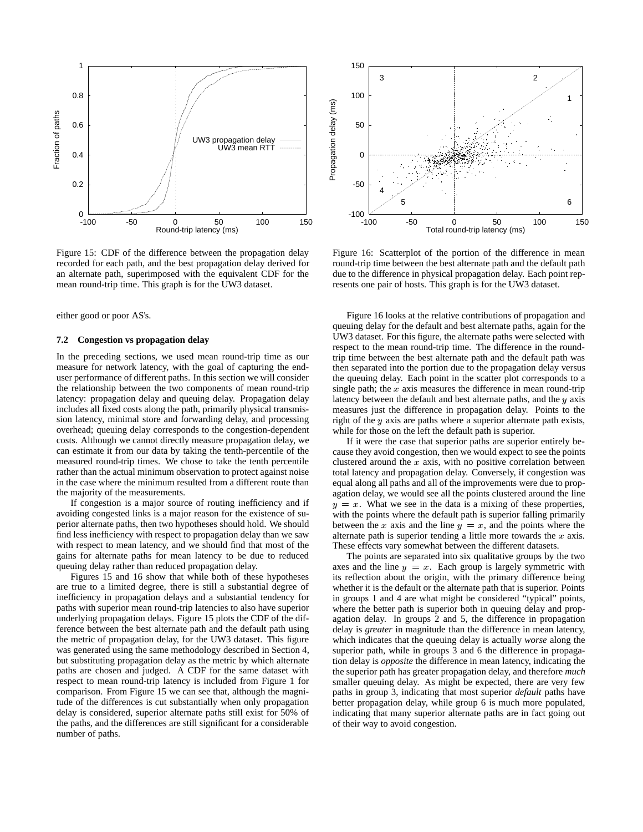

Figure 15: CDF of the difference between the propagation delay recorded for each path, and the best propagation delay derived for an alternate path, superimposed with the equivalent CDF for the mean round-trip time. This graph is for the UW3 dataset.

either good or poor AS's.

## **7.2 Congestion vs propagation delay**

In the preceding sections, we used mean round-trip time as our measure for network latency, with the goal of capturing the enduser performance of different paths. In this section we will consider the relationship between the two components of mean round-trip latency: propagation delay and queuing delay. Propagation delay includes all fixed costs along the path, primarily physical transmission latency, minimal store and forwarding delay, and processing overhead; queuing delay corresponds to the congestion-dependent costs. Although we cannot directly measure propagation delay, we can estimate it from our data by taking the tenth-percentile of the measured round-trip times. We chose to take the tenth percentile rather than the actual minimum observation to protect against noise in the case where the minimum resulted from a different route than the majority of the measurements.

If congestion is a major source of routing inefficiency and if avoiding congested links is a major reason for the existence of superior alternate paths, then two hypotheses should hold. We should find less inefficiency with respect to propagation delay than we saw with respect to mean latency, and we should find that most of the gains for alternate paths for mean latency to be due to reduced queuing delay rather than reduced propagation delay.

Figures 15 and 16 show that while both of these hypotheses are true to a limited degree, there is still a substantial degree of inefficiency in propagation delays and a substantial tendency for paths with superior mean round-trip latencies to also have superior underlying propagation delays. Figure 15 plots the CDF of the difference between the best alternate path and the default path using the metric of propagation delay, for the UW3 dataset. This figure was generated using the same methodology described in Section 4, but substituting propagation delay as the metric by which alternate paths are chosen and judged. A CDF for the same dataset with respect to mean round-trip latency is included from Figure 1 for comparison. From Figure 15 we can see that, although the magnitude of the differences is cut substantially when only propagation delay is considered, superior alternate paths still exist for 50% of the paths, and the differences are still significant for a considerable number of paths.



Figure 16: Scatterplot of the portion of the difference in mean round-trip time between the best alternate path and the default path due to the difference in physical propagation delay. Each point represents one pair of hosts. This graph is for the UW3 dataset.

Figure 16 looks at the relative contributions of propagation and queuing delay for the default and best alternate paths, again for the UW3 dataset. For this figure, the alternate paths were selected with respect to the mean round-trip time. The difference in the roundtrip time between the best alternate path and the default path was then separated into the portion due to the propagation delay versus the queuing delay. Each point in the scatter plot corresponds to a single path; the  $x$  axis measures the difference in mean round-trip latency between the default and best alternate paths, and the <sup>y</sup> axis measures just the difference in propagation delay. Points to the right of the  $y$  axis are paths where a superior alternate path exists, while for those on the left the default path is superior.

If it were the case that superior paths are superior entirely because they avoid congestion, then we would expect to see the points clustered around the  $x$  axis, with no positive correlation between total latency and propagation delay. Conversely, if congestion was equal along all paths and all of the improvements were due to propagation delay, we would see all the points clustered around the line  $y = x$ . What we see in the data is a mixing of these properties, with the points where the default path is superior falling primarily between the x axis and the line  $y = x$ , and the points where the alternate path is superior tending a little more towards the  $x$  axis. These effects vary somewhat between the different datasets.

The points are separated into six qualitative groups by the two axes and the line  $y = x$ . Each group is largely symmetric with its reflection about the origin, with the primary difference being whether it is the default or the alternate path that is superior. Points in groups 1 and 4 are what might be considered "typical" points, where the better path is superior both in queuing delay and propagation delay. In groups 2 and 5, the difference in propagation delay is *greater* in magnitude than the difference in mean latency, which indicates that the queuing delay is actually *worse* along the superior path, while in groups 3 and 6 the difference in propagation delay is *opposite* the difference in mean latency, indicating the the superior path has greater propagation delay, and therefore *much* smaller queuing delay. As might be expected, there are very few paths in group 3, indicating that most superior *default* paths have better propagation delay, while group 6 is much more populated, indicating that many superior alternate paths are in fact going out of their way to avoid congestion.